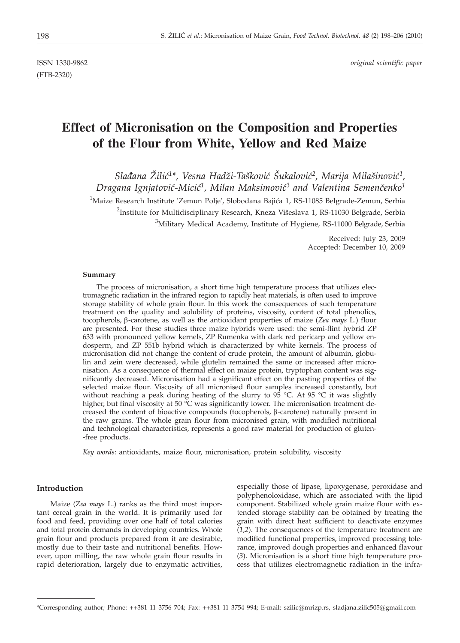(FTB-2320)

ISSN 1330-9862 *original scientific paper*

# **Effect of Micronisation on the Composition and Properties of the Flour from White, Yellow and Red Maize**

Slađana Žilić<sup>1\*</sup>, Vesna Hadži-Tašković Šukalović<sup>2</sup>, Marija Milašinović<sup>1</sup>, *Dragana Ignjatović-Micić<sup>1</sup>, Milan Maksimović<sup>3</sup> and Valentina Semenčenko<sup>1</sup>*  $^{1}$ Maize Research Institute 'Zemun Polje', Slobodana Bajića 1, RS-11085 Belgrade-Zemun, Serbia  $^2$ Institute for Multidisciplinary Research, Kneza Višeslava 1, RS-11030 Belgrade, Serbia  $^3$ Military Medical Academy, Institute of Hygiene, RS-11000 Belgrade, Serbia

> Received: July 23, 2009 Accepted: December 10, 2009

#### **Summary**

The process of micronisation, a short time high temperature process that utilizes electromagnetic radiation in the infrared region to rapidly heat materials, is often used to improve storage stability of whole grain flour. In this work the consequences of such temperature treatment on the quality and solubility of proteins, viscosity, content of total phenolics, tocopherols,  $\beta$ -carotene, as well as the antioxidant properties of maize (*Zea mays* L.) flour are presented. For these studies three maize hybrids were used: the semi-flint hybrid ZP 633 with pronounced yellow kernels, ZP Rumenka with dark red pericarp and yellow endosperm, and ZP 551b hybrid which is characterized by white kernels. The process of micronisation did not change the content of crude protein, the amount of albumin, globulin and zein were decreased, while glutelin remained the same or increased after micronisation. As a consequence of thermal effect on maize protein, tryptophan content was significantly decreased. Micronisation had a significant effect on the pasting properties of the selected maize flour. Viscosity of all micronised flour samples increased constantly, but without reaching a peak during heating of the slurry to  $95^{\circ}$ C. At  $95^{\circ}$ C it was slightly higher, but final viscosity at 50 °C was significantly lower. The micronisation treatment decreased the content of bioactive compounds (tocopherols,  $\beta$ -carotene) naturally present in the raw grains. The whole grain flour from micronised grain, with modified nutritional and technological characteristics, represents a good raw material for production of gluten- -free products.

*Key words*: antioxidants, maize flour, micronisation, protein solubility, viscosity

## **Introduction**

Maize (*Zea mays* L.) ranks as the third most important cereal grain in the world. It is primarily used for food and feed, providing over one half of total calories and total protein demands in developing countries. Whole grain flour and products prepared from it are desirable, mostly due to their taste and nutritional benefits. However, upon milling, the raw whole grain flour results in rapid deterioration, largely due to enzymatic activities,

especially those of lipase, lipoxygenase, peroxidase and polyphenoloxidase, which are associated with the lipid component. Stabilized whole grain maize flour with extended storage stability can be obtained by treating the grain with direct heat sufficient to deactivate enzymes (*1,2*). The consequences of the temperature treatment are modified functional properties, improved processing tolerance, improved dough properties and enhanced flavour (*3*). Micronisation is a short time high temperature process that utilizes electromagnetic radiation in the infra-

<sup>\*</sup>Corresponding author; Phone: ++381 11 3756 704; Fax: ++381 11 3754 994; E-mail: szilic@mrizp.rs, sladjana.zilic505@gmail.com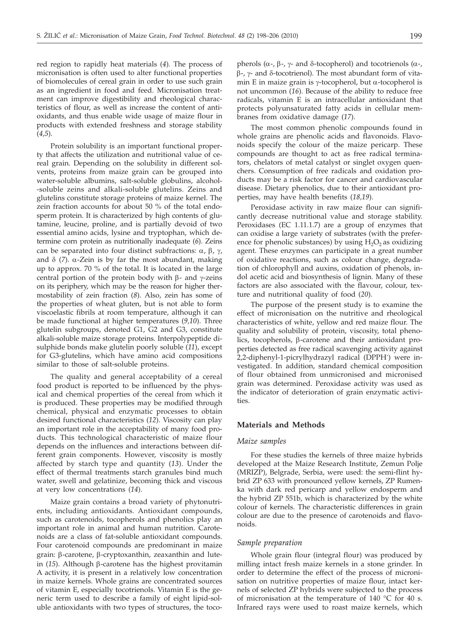red region to rapidly heat materials (*4*)*.* The process of micronisation is often used to alter functional properties of biomolecules of cereal grain in order to use such grain as an ingredient in food and feed. Micronisation treatment can improve digestibility and rheological characteristics of flour, as well as increase the content of antioxidants, and thus enable wide usage of maize flour in products with extended freshness and storage stability (*4,5*).

Protein solubility is an important functional property that affects the utilization and nutritional value of cereal grain. Depending on the solubility in different solvents, proteins from maize grain can be grouped into water-soluble albumins, salt-soluble globulins, alcohol- -soluble zeins and alkali-soluble glutelins. Zeins and glutelins constitute storage proteins of maize kernel. The zein fraction accounts for about 50 % of the total endosperm protein. It is characterized by high contents of glutamine, leucine, proline, and is partially devoid of two essential amino acids, lysine and tryptophan, which determine corn protein as nutritionally inadequate (*6*). Zeins can be separated into four distinct subfractions:  $\alpha$ ,  $\beta$ ,  $\gamma$ , and  $\delta$  (7).  $\alpha$ -Zein is by far the most abundant, making up to approx. 70 % of the total. It is located in the large central portion of the protein body with  $\beta$ - and  $\gamma$ -zeins on its periphery, which may be the reason for higher thermostability of zein fraction (*8*). Also, zein has some of the properties of wheat gluten, but is not able to form viscoelastic fibrils at room temperature, although it can be made functional at higher temperatures (*9,10*). Three glutelin subgroups, denoted G1, G2 and G3, constitute alkali-soluble maize storage proteins. Interpolypeptide disulphide bonds make glutelin poorly soluble (*11*), except for G3-glutelins, which have amino acid compositions similar to those of salt-soluble proteins.

The quality and general acceptability of a cereal food product is reported to be influenced by the physical and chemical properties of the cereal from which it is produced. These properties may be modified through chemical, physical and enzymatic processes to obtain desired functional characteristics (*12*). Viscosity can play an important role in the acceptability of many food products. This technological characteristic of maize flour depends on the influences and interactions between different grain components. However, viscosity is mostly affected by starch type and quantity (*13*). Under the effect of thermal treatments starch granules bind much water, swell and gelatinize, becoming thick and viscous at very low concentrations (*14*).

Maize grain contains a broad variety of phytonutrients, including antioxidants. Antioxidant compounds, such as carotenoids, tocopherols and phenolics play an important role in animal and human nutrition. Carotenoids are a class of fat-soluble antioxidant compounds. Four carotenoid compounds are predominant in maize grain: b-carotene, b-cryptoxanthin, zeaxanthin and lutein  $(15)$ . Although  $\beta$ -carotene has the highest provitamin A activity, it is present in a relatively low concentration in maize kernels. Whole grains are concentrated sources of vitamin E, especially tocotrienols. Vitamin E is the generic term used to describe a family of eight lipid-soluble antioxidants with two types of structures, the toco-

pherols ( $\alpha$ -,  $\beta$ -,  $\gamma$ - and  $\delta$ -tocopherol) and tocotrienols ( $\alpha$ -,  $\beta$ -,  $\gamma$ - and  $\delta$ -tocotrienol). The most abundant form of vitamin E in maize grain is  $\gamma$ -tocopherol, but  $\alpha$ -tocopherol is not uncommon (*16*). Because of the ability to reduce free radicals, vitamin E is an intracellular antioxidant that protects polyunsaturated fatty acids in cellular membranes from oxidative damage (*17*).

The most common phenolic compounds found in whole grains are phenolic acids and flavonoids. Flavonoids specify the colour of the maize pericarp. These compounds are thought to act as free radical terminators, chelators of metal catalyst or singlet oxygen quenchers. Consumption of free radicals and oxidation products may be a risk factor for cancer and cardiovascular disease. Dietary phenolics, due to their antioxidant properties, may have health benefits (*18,19*).

Peroxidase activity in raw maize flour can significantly decrease nutritional value and storage stability. Peroxidases (EC 1.11.1.7) are a group of enzymes that can oxidise a large variety of substrates (with the preference for phenolic substances) by using  $H_2O_2$  as oxidizing agent. These enzymes can participate in a great number of oxidative reactions, such as colour change, degradation of chlorophyll and auxins, oxidation of phenols, indol acetic acid and biosynthesis of lignin. Many of these factors are also associated with the flavour, colour, texture and nutritional quality of food (*20*).

The purpose of the present study is to examine the effect of micronisation on the nutritive and rheological characteristics of white, yellow and red maize flour. The quality and solubility of protein, viscosity, total phenolics, tocopherols, β-carotene and their antioxidant properties detected as free radical scavenging activity against 2,2-diphenyl-1-picrylhydrazyl radical (DPPH· ) were investigated. In addition, standard chemical composition of flour obtained from unmicronised and micronised grain was determined. Peroxidase activity was used as the indicator of deterioration of grain enzymatic activities.

## **Materials and Methods**

#### *Maize samples*

For these studies the kernels of three maize hybrids developed at the Maize Research Institute, Zemun Polje (MRIZP), Belgrade, Serbia, were used: the semi-flint hybrid ZP 633 with pronounced yellow kernels, ZP Rumenka with dark red pericarp and yellow endosperm and the hybrid ZP 551b, which is characterized by the white colour of kernels. The characteristic differences in grain colour are due to the presence of carotenoids and flavonoids.

#### *Sample preparation*

Whole grain flour (integral flour) was produced by milling intact fresh maize kernels in a stone grinder. In order to determine the effect of the process of micronisation on nutritive properties of maize flour, intact kernels of selected ZP hybrids were subjected to the process of micronisation at the temperature of 140 °C for 40 s. Infrared rays were used to roast maize kernels, which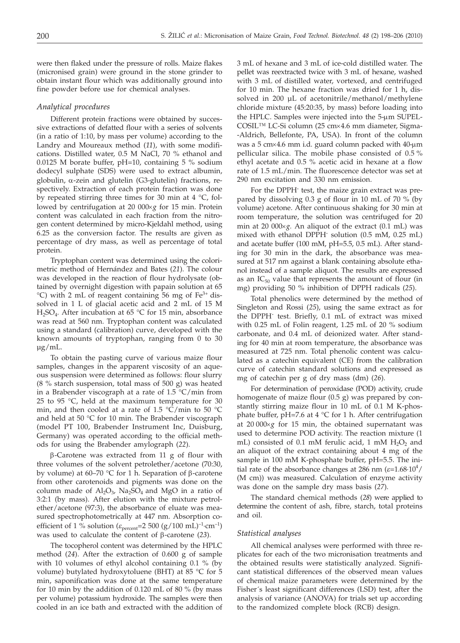were then flaked under the pressure of rolls. Maize flakes (micronised grain) were ground in the stone grinder to obtain instant flour which was additionally ground into fine powder before use for chemical analyses.

#### *Analytical procedures*

Different protein fractions were obtained by successive extractions of defatted flour with a series of solvents (in a ratio of 1:10, by mass per volume) according to the Landry and Moureaux method (*11*), with some modifications. Distilled water, 0.5 M NaCl, 70 % ethanol and 0.0125 M borate buffer, pH=10, containing 5 % sodium dodecyl sulphate (SDS) were used to extract albumin, globulin,  $\alpha$ -zein and glutelin (G3-glutelin) fractions, respectively. Extraction of each protein fraction was done by repeated stirring three times for 30 min at 4 °C, followed by centrifugation at 20 000×g for 15 min. Protein content was calculated in each fraction from the nitrogen content determined by micro-Kjeldahl method, using 6.25 as the conversion factor. The results are given as percentage of dry mass, as well as percentage of total protein.

Tryptophan content was determined using the colorimetric method of Hernández and Bates (*21*). The colour was developed in the reaction of flour hydrolysate (obtained by overnight digestion with papain solution at 65  $^{\circ}$ C) with 2 mL of reagent containing 56 mg of Fe<sup>3+</sup> dissolved in 1 L of glacial acetic acid and 2 mL of 15 M H<sub>2</sub>SO<sub>4</sub>. After incubation at 65 °C for 15 min, absorbance was read at 560 nm. Tryptophan content was calculated using a standard (calibration) curve, developed with the known amounts of tryptophan, ranging from 0 to 30 µg/mL.

To obtain the pasting curve of various maize flour samples, changes in the apparent viscosity of an aqueous suspension were determined as follows: flour slurry (8 % starch suspension, total mass of 500 g) was heated in a Brabender viscograph at a rate of 1.5 °C/min from 25 to 95 °C, held at the maximum temperature for 30 min, and then cooled at a rate of 1.5 °C/min to 50 °C and held at 50 °C for 10 min. The Brabender viscograph (model PT 100, Brabender Instrument Inc, Duisburg, Germany) was operated according to the official methods for using the Brabender amylograph (*22*).

 $\beta$ -Carotene was extracted from 11 g of flour with three volumes of the solvent petrolether/acetone (70:30, by volume) at 60–70 °C for 1 h. Separation of  $\beta$ -carotene from other carotenoids and pigments was done on the column made of  $Al_2O_3$ , Na<sub>2</sub>SO<sub>4</sub> and MgO in a ratio of 3:2:1 (by mass). After elution with the mixture petrolether/acetone (97:3), the absorbance of eluate was measured spectrophotometrically at 447 nm. Absorption coefficient of 1 % solution ( $\varepsilon_{\text{percent}}$ =2 500 (g/100 mL)<sup>-1</sup>·cm<sup>-1</sup>) was used to calculate the content of  $\beta$ -carotene (23).

The tocopherol content was determined by the HPLC method (*24*). After the extraction of 0.600 g of sample with 10 volumes of ethyl alcohol containing 0.1 % (by volume) butylated hydroxytoluene (BHT) at 85 °C for 5 min, saponification was done at the same temperature for 10 min by the addition of 0.120 mL of 80 % (by mass per volume) potassium hydroxide. The samples were then cooled in an ice bath and extracted with the addition of 3 mL of hexane and 3 mL of ice-cold distilled water. The pellet was reextracted twice with 3 mL of hexane, washed with 3 mL of distilled water, vortexed, and centrifuged for 10 min. The hexane fraction was dried for 1 h, dissolved in 200 µL of acetonitrile/methanol/methylene chloride mixture (45:20:35, by mass) before loading into the HPLC. Samples were injected into the 5-µm SUPEL-COSIL™ LC-Si column (25 cm×4.6 mm diameter, Sigma--Aldrich, Bellefonte, PA, USA). In front of the column was a 5 cm $\times$ 4.6 mm i.d. guard column packed with 40-µm pellicular silica. The mobile phase consisted of 0.5 % ethyl acetate and 0.5 % acetic acid in hexane at a flow rate of 1.5 mL/min. The fluorescence detector was set at 290 nm excitation and 330 nm emission.

For the DPPH· test, the maize grain extract was prepared by dissolving 0.3 g of flour in 10 mL of 70 % (by volume) acetone. After continuous shaking for 30 min at room temperature, the solution was centrifuged for 20 min at 20 000×g. An aliquot of the extract (0.1 mL) was mixed with ethanol DPPH· solution (0.5 mM, 0.25 mL) and acetate buffer (100 mM, pH=5.5, 0.5 mL). After standing for 30 min in the dark, the absorbance was measured at 517 nm against a blank containing absolute ethanol instead of a sample aliquot. The results are expressed as an  $IC_{50}$  value that represents the amount of flour (in mg) providing 50 % inhibition of DPPH radicals (*25*).

Total phenolics were determined by the method of Singleton and Rossi (*25*), using the same extract as for the DPPH· test. Briefly, 0.1 mL of extract was mixed with 0.25 mL of Folin reagent, 1.25 mL of 20 % sodium carbonate, and 0.4 mL of deionized water. After standing for 40 min at room temperature, the absorbance was measured at 725 nm. Total phenolic content was calculated as a catechin equivalent (CE) from the calibration curve of catechin standard solutions and expressed as mg of catechin per g of dry mass (dm) (*26*).

For determination of peroxidase (POD) activity, crude homogenate of maize flour (0.5 g) was prepared by constantly stirring maize flour in 10 mL of 0.1 M K-phosphate buffer, pH=7.6 at  $4 °C$  for 1 h. After centrifugation at 20 000×g for 15 min, the obtained supernatant was used to determine POD activity. The reaction mixture (1 mL) consisted of 0.1 mM ferulic acid, 1 mM  $H_2O_2$  and an aliquot of the extract containing about 4 mg of the sample in 100 mM K-phosphate buffer, pH=5.5. The initial rate of the absorbance changes at 286 nm ( $\varepsilon$ =1.68·10<sup>4</sup>/<br>(M cm)) was measured. Calculation of enzyme activity (M cm)) was measured. Calculation of enzyme activity was done on the sample dry mass basis (*27*).

The standard chemical methods (*28*) were applied to determine the content of ash, fibre, starch, total proteins and oil.

#### *Statistical analyses*

All chemical analyses were performed with three replicates for each of the two micronisation treatments and the obtained results were statistically analyzed. Significant statistical differences of the observed mean values of chemical maize parameters were determined by the Fisher´s least significant differences (LSD) test, after the analysis of variance (ANOVA) for trials set up according to the randomized complete block (RCB) design.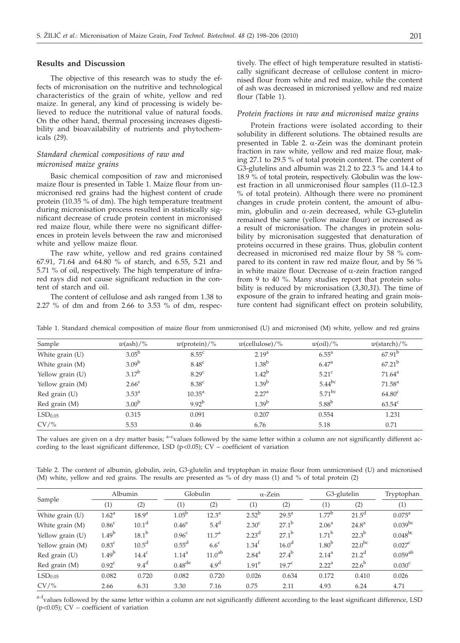#### **Results and Discussion**

The objective of this research was to study the effects of micronisation on the nutritive and technological characteristics of the grain of white, yellow and red maize. In general, any kind of processing is widely believed to reduce the nutritional value of natural foods. On the other hand, thermal processing increases digestibility and bioavailability of nutrients and phytochemicals (*29*).

## *Standard chemical compositions of raw and micronised maize grains*

Basic chemical composition of raw and micronised maize flour is presented in Table 1. Maize flour from unmicronised red grains had the highest content of crude protein (10.35 % of dm). The high temperature treatment during micronisation process resulted in statistically significant decrease of crude protein content in micronised red maize flour, while there were no significant differences in protein levels between the raw and micronised white and yellow maize flour.

The raw white, yellow and red grains contained 67.91, 71.64 and 64.80 % of starch, and 6.55, 5.21 and 5.71 % of oil, respectively. The high temperature of infrared rays did not cause significant reduction in the content of starch and oil.

The content of cellulose and ash ranged from 1.38 to 2.27 % of dm and from 2.66 to 3.53 % of dm, respectively. The effect of high temperature resulted in statistically significant decrease of cellulose content in micronised flour from white and red maize, while the content of ash was decreased in micronised yellow and red maize flour (Table 1).

#### *Protein fractions in raw and micronised maize grains*

Protein fractions were isolated according to their solubility in different solutions. The obtained results are presented in Table 2.  $\alpha$ -Zein was the dominant protein fraction in raw white, yellow and red maize flour, making 27.1 to 29.5 % of total protein content. The content of G3-glutelins and albumin was 21.2 to 22.3 % and 14.4 to 18.9 % of total protein, respectively. Globulin was the lowest fraction in all unmicronised flour samples (11.0–12.3 % of total protein). Although there were no prominent changes in crude protein content, the amount of albumin, globulin and  $\alpha$ -zein decreased, while G3-glutelin remained the same (yellow maize flour) or increased as a result of micronisation. The changes in protein solubility by micronisation suggested that denaturation of proteins occurred in these grains. Thus, globulin content decreased in micronised red maize flour by 58 % compared to its content in raw red maize flour, and by 56 % in white maize flour. Decrease of  $\alpha$ -zein fraction ranged from 9 to 40 %. Many studies report that protein solubility is reduced by micronisation (*3,30,31*). The time of exposure of the grain to infrared heating and grain moisture content had significant effect on protein solubility,

| Sample              | $w(\text{ash})/\%$ | $w(\text{protein})/\%$ | $w$ (cellulose)/% | $w\text{(oil)}/\%$ | $w(\text{starch})/\%$ |
|---------------------|--------------------|------------------------|-------------------|--------------------|-----------------------|
| White grain (U)     | $3.05^{\rm b}$     | $8.55^{\circ}$         | 2.19 <sup>a</sup> | $6.55^{\circ}$     | $67.91^{b}$           |
| White grain (M)     | 3.09 <sup>b</sup>  | 8.48 <sup>c</sup>      | 1.38 <sup>b</sup> | 6.47 <sup>a</sup>  | $67.21^{b}$           |
| Yellow grain (U)    | $3.17^{b}$         | 8.29 <sup>c</sup>      | $1.42^{b}$        | $5.21^{\circ}$     | $71.64^{\text{a}}$    |
| Yellow grain (M)    | 2.66 <sup>c</sup>  | 8.38 <sup>c</sup>      | 1.39 <sup>b</sup> | $5.44^{bc}$        | $71.58^{\text{a}}$    |
| Red grain (U)       | $3.53^{\circ}$     | $10.35^{\text{a}}$     | 2.27 <sup>a</sup> | $5.71^{bc}$        | $64.80^{\circ}$       |
| Red grain (M)       | 3.00 <sup>b</sup>  | $9.92^{b}$             | $1.39^{b}$        | $5.88^{\rm b}$     | $63.54^c$             |
| LSD <sub>0.05</sub> | 0.315              | 0.091                  | 0.207             | 0.554              | 1.231                 |
| $CV$ /%             | 5.53               | 0.46                   | 6.76              | 5.18               | 0.71                  |

Table 1. Standard chemical composition of maize flour from unmicronised (U) and micronised (M) white, yellow and red grains

The values are given on a dry matter basis;  $a-c$ values followed by the same letter within a column are not significantly different according to the least significant difference, LSD ( $p$ <0.05); CV – coefficient of variation

Table 2. The content of albumin, globulin, zein, G3-glutelin and tryptophan in maize flour from unmicronised (U) and micronised (M) white, yellow and red grains. The results are presented as % of dry mass (1) and % of total protein (2)

| Sample              | Albumin           |                   | Globulin           |                    | $\alpha$ -Zein    |                   | G3-glutelin       |                   | Tryptophan         |
|---------------------|-------------------|-------------------|--------------------|--------------------|-------------------|-------------------|-------------------|-------------------|--------------------|
|                     | (1)               | (2)               | (1)                | (2)                | (1)               | (2)               | (1)               | (2)               | (1)                |
| White grain (U)     | 1.62 <sup>a</sup> | $18.9^{a}$        | $1.05^{b}$         | $12.3^{\circ}$     | $2.52^{b}$        | $29.5^{\text{a}}$ | $1.77^{b}$        | $21.5^{\text{d}}$ | $0.075^{\text{a}}$ |
| White grain (M)     | 0.86 <sup>c</sup> | 10.1 <sup>d</sup> | $0.46^\mathrm{e}$  | $5.4^d$            | 2.30 <sup>c</sup> | $27.1^{\rm b}$    | 2.06 <sup>a</sup> | $24.8^{\rm a}$    | $0.039$ bc         |
| Yellow grain (U)    | 1.49 <sup>b</sup> | 18.1 <sup>b</sup> | 0.96 <sup>c</sup>  | 11.7 <sup>a</sup>  | 2.23 <sup>d</sup> | $27.1^{\rm b}$    | $1.71^{\rm b}$    | $22.3^{b}$        | $0.048^{bc}$       |
| Yellow grain (M)    | 0.83 <sup>c</sup> | $10.5^{\text{d}}$ | 0.55 <sup>d</sup>  | 6.6 <sup>c</sup>   | $1.34^{f}$        | 16.0 <sup>d</sup> | 1.80 <sup>b</sup> | $22.0^{bc}$       | $0.027^{\rm c}$    |
| Red grain $(U)$     | 1.49 <sup>b</sup> | $14.4^{\circ}$    | $1.14^{a}$         | 11.0 <sup>ab</sup> | $2.84^{a}$        | $27.4^{b}$        | $2.14^{a}$        | $21.2^d$          | $0.059^{ab}$       |
| Red grain (M)       | 0.92 <sup>c</sup> | $9.4^d$           | $0.48^{\text{de}}$ | 4.9 <sup>d</sup>   | 1.91 <sup>e</sup> | 19.7 <sup>c</sup> | 2.22 <sup>a</sup> | $22.6^{b}$        | 0.030 <sup>c</sup> |
| LSD <sub>0.05</sub> | 0.082             | 0.720             | 0.082              | 0.720              | 0.026             | 0.634             | 0.172             | 0.410             | 0.026              |
| $CV/$ %             | 2.66              | 6.31              | 3.30               | 7.16               | 0.75              | 2.11              | 4.93              | 6.24              | 4.71               |

a-fvalues followed by the same letter within a column are not significantly different according to the least significant difference, LSD (p<0.05); CV – coefficient of variation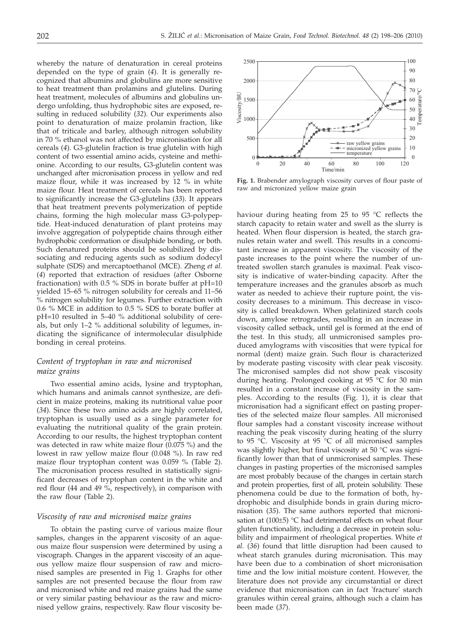whereby the nature of denaturation in cereal proteins depended on the type of grain (*4*). It is generally recognized that albumins and globulins are more sensitive to heat treatment than prolamins and glutelins. During heat treatment, molecules of albumins and globulins undergo unfolding, thus hydrophobic sites are exposed, resulting in reduced solubility (*32*). Our experiments also point to denaturation of maize prolamin fraction, like that of triticale and barley, although nitrogen solubility in 70 % ethanol was not affected by micronisation for all cereals (*4*). G3-glutelin fraction is true glutelin with high content of two essential amino acids, cysteine and methionine. According to our results, G3-glutelin content was unchanged after micronisation process in yellow and red maize flour, while it was increased by 12 % in white maize flour. Heat treatment of cereals has been reported to significantly increase the G3-glutelins (*33*). It appears that heat treatment prevents polymerization of peptide chains, forming the high molecular mass G3-polypeptide. Heat-induced denaturation of plant proteins may involve aggregation of polypeptide chains through either hydrophobic conformation or disulphide bonding, or both. Such denatured proteins should be solubilized by dissociating and reducing agents such as sodium dodecyl sulphate (SDS) and mercaptoethanol (MCE). Zheng *et al.* (*4*) reported that extraction of residues (after Osborne fractionation) with 0.5 % SDS in borate buffer at pH=10 yielded 15–65 % nitrogen solubility for cereals and 11–56 % nitrogen solubility for legumes. Further extraction with 0.6 % MCE in addition to 0.5 % SDS to borate buffer at pH=10 resulted in 5–40 % additional solubility of cereals, but only 1–2 % additional solubility of legumes, indicating the significance of intermolecular disulphide bonding in cereal proteins.

## *Content of tryptophan in raw and micronised maize grains*

Two essential amino acids, lysine and tryptophan, which humans and animals cannot synthesize, are deficient in maize proteins, making its nutritional value poor (*34*). Since these two amino acids are highly correlated, tryptophan is usually used as a single parameter for evaluating the nutritional quality of the grain protein. According to our results, the highest tryptophan content was detected in raw white maize flour (0.075 %) and the lowest in raw yellow maize flour (0.048 %). In raw red maize flour tryptophan content was 0.059 % (Table 2). The micronisation process resulted in statistically significant decreases of tryptophan content in the white and red flour (44 and 49 %, respectively), in comparison with the raw flour (Table 2).

#### *Viscosity of raw and micronised maize grains*

To obtain the pasting curve of various maize flour samples, changes in the apparent viscosity of an aqueous maize flour suspension were determined by using a viscograph. Changes in the apparent viscosity of an aqueous yellow maize flour suspension of raw and micronised samples are presented in Fig 1. Graphs for other samples are not presented because the flour from raw and micronised white and red maize grains had the same or very similar pasting behaviour as the raw and micronised yellow grains, respectively. Raw flour viscosity be-



**Fig. 1.** Brabender amylograph viscosity curves of flour paste of raw and micronized yellow maize grain

haviour during heating from 25 to 95 °C reflects the starch capacity to retain water and swell as the slurry is heated. When flour dispersion is heated, the starch granules retain water and swell. This results in a concomitant increase in apparent viscosity. The viscosity of the paste increases to the point where the number of untreated swollen starch granules is maximal. Peak viscosity is indicative of water-binding capacity. After the temperature increases and the granules absorb as much water as needed to achieve their rupture point, the viscosity decreases to a minimum. This decrease in viscosity is called breakdown. When gelatinized starch cools down, amylose retrogrades, resulting in an increase in viscosity called setback, until gel is formed at the end of the test. In this study, all unmicronised samples produced amylograms with viscosities that were typical for normal (dent) maize grain. Such flour is characterized by moderate pasting viscosity with clear peak viscosity. The micronised samples did not show peak viscosity during heating. Prolonged cooking at 95 °C for 30 min resulted in a constant increase of viscosity in the samples. According to the results (Fig. 1), it is clear that micronisation had a significant effect on pasting properties of the selected maize flour samples. All micronised flour samples had a constant viscosity increase without reaching the peak viscosity during heating of the slurry to 95 °C. Viscosity at 95 °C of all micronised samples was slightly higher, but final viscosity at 50 °C was significantly lower than that of unmicronised samples. These changes in pasting properties of the micronised samples are most probably because of the changes in certain starch and protein properties, first of all, protein solubility. These phenomena could be due to the formation of both, hydrophobic and disulphide bonds in grain during micronisation (*35*). The same authors reported that micronisation at  $(100\pm5)$  °C had detrimental effects on wheat flour gluten functionality, including a decrease in protein solubility and impairment of rheological properties. White *et al.* (*36*) found that little disruption had been caused to wheat starch granules during micronisation. This may have been due to a combination of short micronisation time and the low initial moisture content. However, the literature does not provide any circumstantial or direct evidence that micronisation can in fact 'fracture' starch granules within cereal grains, although such a claim has been made (*37*).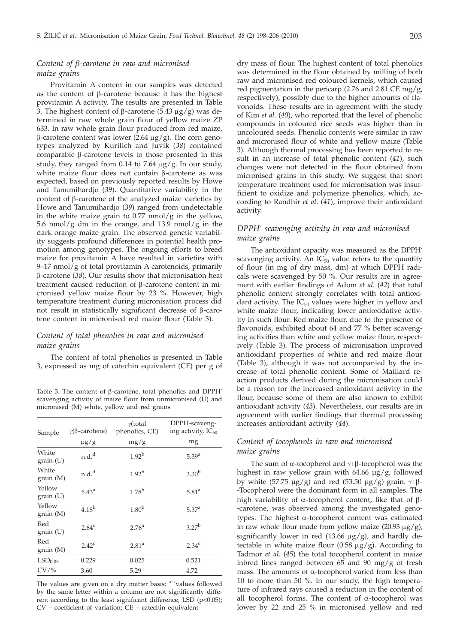## *Content of b-carotene in raw and micronised maize grains*

Provitamin A content in our samples was detected as the content of b-carotene because it has the highest provitamin A activity. The results are presented in Table 3. The highest content of  $\beta$ -carotene (5.43  $\mu$ g/g) was determined in raw whole grain flour of yellow maize ZP 633. In raw whole grain flour produced from red maize,  $\beta$ -carotene content was lower (2.64  $\mu$ g/g). The corn genotypes analyzed by Kurilich and Juvik (*38*) contained comparable  $\beta$ -carotene levels to those presented in this study, they ranged from 0.14 to 7.64  $\mu$ g/g. In our study, white maize flour does not contain  $\beta$ -carotene as was expected, based on previously reported results by Howe and Tanumihardjo (*39*). Quantitative variability in the content of  $\beta$ -carotene of the analyzed maize varieties by Howe and Tanumihardjo (*39*) ranged from undetectable in the white maize grain to  $0.77$  nmol/g in the yellow, 5.6 nmol/g dm in the orange, and 13.9 nmol/g in the dark orange maize grain. The observed genetic variability suggests profound differences in potential health promotion among genotypes. The ongoing efforts to breed maize for provitamin A have resulted in varieties with 9–17 nmol/g of total provitamin A carotenoids, primarily b-carotene (*38*). Our results show that micronisation heat treatment caused reduction of b-carotene content in micronised yellow maize flour by 23 %. However, high temperature treatment during micronisation process did not result in statistically significant decrease of  $\beta$ -carotene content in micronised red maize flour (Table 3).

## *Content of total phenolics in raw and micronised maize grains*

The content of total phenolics is presented in Table 3, expressed as mg of catechin equivalent (CE) per g of

Table 3. The content of  $\beta$ -carotene, total phenolics and DPPH $\cdot$ scavenging activity of maize flour from unmicronised (U) and micronised (M) white, yellow and red grains

| Sample              | $γ(β$ -carotene)    | $\gamma$ (total<br>phenolics, CE) | DPPH-scaveng-<br>ing activity, $IC_{50}$ |  |
|---------------------|---------------------|-----------------------------------|------------------------------------------|--|
|                     | $\mu$ g/g           | mg/g                              | mg                                       |  |
| White<br>grain (U)  | $n.d.^d$            | $1.92^{b}$                        | $5.39^{a}$                               |  |
| White<br>grain(M)   | n.d. <sup>d</sup>   | $1.92^{b}$                        | 3.30 <sup>b</sup>                        |  |
| Yellow<br>grain (U) | $5.43^{\mathrm{a}}$ | $1.78^{b}$                        | 5.81 <sup>a</sup>                        |  |
| Yellow<br>grain (M) | 4.18 <sup>b</sup>   | 1.80 <sup>b</sup>                 | 5.37 <sup>a</sup>                        |  |
| Red<br>grain (U)    | 2.64 <sup>c</sup>   | 2.76 <sup>a</sup>                 | $3.27^{b}$                               |  |
| Red<br>grain(M)     | $2.42^{\circ}$      | 2.81 <sup>a</sup>                 | 2.34 <sup>c</sup>                        |  |
| LSD <sub>0.05</sub> | 0.229               | 0.025                             | 0.521                                    |  |
| $CV/$ %             | 3.60                | 5.29                              | 4.72                                     |  |

The values are given on a dry matter basis;  $a-c$ values followed by the same letter within a column are not significantly different according to the least significant difference, LSD (p<0.05); CV – coefficient of variation; CE – catechin equivalent

dry mass of flour. The highest content of total phenolics was determined in the flour obtained by milling of both raw and micronised red coloured kernels, which caused red pigmentation in the pericarp (2.76 and 2.81 CE mg/g, respectively), possibly due to the higher amounts of flavonoids. These results are in agreement with the study of Kim *et al.* (*40*), who reported that the level of phenolic compounds in coloured rice seeds was higher than in uncoloured seeds. Phenolic contents were similar in raw and micronised flour of white and yellow maize (Table 3). Although thermal processing has been reported to result in an increase of total phenolic content (*41*), such changes were not detected in the flour obtained from micronised grains in this study. We suggest that short temperature treatment used for micronisation was insufficient to oxidize and polymerize phenolics, which, according to Randhir *et al*. (*41*), improve their antioxidant activity.

## *DPPH· scavenging activity in raw and micronised maize grains*

The antioxidant capacity was measured as the DPPH· scavenging activity. An  $IC_{50}$  value refers to the quantity of flour (in mg of dry mass, dm) at which DPPH radicals were scavenged by 50 %. Our results are in agreement with earlier findings of Adom *et al*. (*42*) that total phenolic content strongly correlates with total antioxidant activity. The  $IC_{50}$  values were higher in yellow and white maize flour, indicating lower antioxidative activity in such flour. Red maize flour, due to the presence of flavonoids, exhibited about 64 and 77 % better scavenging activities than white and yellow maize flour, respectively (Table 3). The process of micronisation improved antioxidant properties of white and red maize flour (Table 3), although it was not accompanied by the increase of total phenolic content. Some of Maillard reaction products derived during the micronisation could be a reason for the increased antioxidant activity in the flour, because some of them are also known to exhibit antioxidant activity (*43*). Nevertheless, our results are in agreement with earlier findings that thermal processing increases antioxidant activity (*44*).

## *Content of tocopherols in raw and micronised maize grains*

The sum of  $\alpha$ -tocopherol and  $\gamma$ + $\beta$ -tocopherol was the highest in raw yellow grain with 64.66 µg/g, followed by white (57.75  $\mu$ g/g) and red (53.50  $\mu$ g/g) grain.  $\gamma$ + $\beta$ --Tocopherol were the dominant form in all samples. The high variability of  $\alpha$ -tocopherol content, like that of  $\beta$ --carotene, was observed among the investigated genotypes. The highest  $\alpha$ -tocopherol content was estimated in raw whole flour made from yellow maize  $(20.93 \mu g/g)$ , significantly lower in red (13.66  $\mu$ g/g), and hardly detectable in white maize flour (0.58  $\mu$ g/g). According to Tadmor *et al.* (*45*) the total tocopherol content in maize inbred lines ranged between 65 and 90 mg/g of fresh mass. The amounts of  $\alpha$ -tocopherol varied from less than 10 to more than 50 %. In our study, the high temperature of infrared rays caused a reduction in the content of all tocopherol forms. The content of  $\alpha$ -tocopherol was lower by 22 and 25 % in micronised yellow and red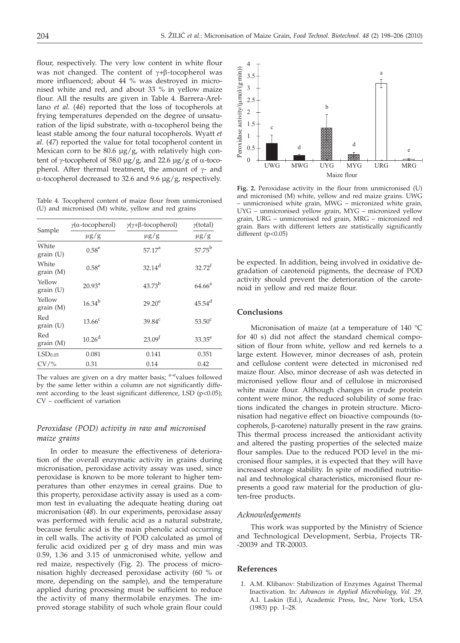flour, respectively. The very low content in white flour was not changed. The content of  $\gamma + \beta$ -tocopherol was more influenced; about 44 % was destroyed in micronised white and red, and about 33 % in yellow maize flour. All the results are given in Table 4. Barrera-Arellano *et al.* (*46*) reported that the loss of tocopherols at frying temperatures depended on the degree of unsaturation of the lipid substrate, with  $\alpha$ -tocopherol being the least stable among the four natural tocopherols. Wyatt *et al.* (*47*) reported the value for total tocopherol content in Mexican corn to be 80.6  $\mu$ g/g, with relatively high content of  $\gamma$ -tocopherol of 58.0  $\mu$ g/g, and 22.6  $\mu$ g/g of  $\alpha$ -tocopherol. After thermal treatment, the amount of  $\gamma$ - and  $\alpha$ -tocopherol decreased to 32.6 and 9.6  $\mu$ g/g, respectively.

Table 4. Tocopherol content of maize flour from unmicronised (U) and micronised (M) white, yellow and red grains

| Sample              | $\gamma(\alpha$ -tocopherol) | $\gamma(\gamma+\beta\text{-}tocopherol)$ | y(total)             |  |
|---------------------|------------------------------|------------------------------------------|----------------------|--|
|                     | $\mu$ g/g                    | $\mu$ g/g                                | $\mu$ g/g            |  |
| White<br>grain (U)  | $0.58^{e}$                   | 57.17 <sup>a</sup>                       | $57.75^{b}$          |  |
| White<br>grain(M)   | $0.58^e$                     | $32.14$ <sup>d</sup>                     | $32.72^{f}$          |  |
| Yellow<br>grain (U) | $20.93^a$                    | $43.73^{b}$                              | $64.66^{\rm a}$      |  |
| Yellow<br>grain(M)  | $16.34^{b}$                  | $29.20^e$                                | $45.54$ <sup>d</sup> |  |
| Red<br>grain (U)    | 13.66 <sup>c</sup>           | $39.84^c$                                | $53.50^{\circ}$      |  |
| Red<br>grain(M)     | 10.26 <sup>d</sup>           | 23.09 <sup>f</sup>                       | $33.35^e$            |  |
| LSD <sub>0.05</sub> | 0.081                        | 0.141                                    | 0.351                |  |
| $CV/$ %             | 0.31                         | 0.14                                     | 0.42                 |  |

The values are given on a dry matter basis;  $a-e$  values followed by the same letter within a column are not significantly different according to the least significant difference, LSD  $(p<0.05)$ ; CV – coefficient of variation

## *Peroxidase (POD) activity in raw and micronised maize grains*

In order to measure the effectiveness of deterioration of the overall enzymatic activity in grains during micronisation, peroxidase activity assay was used, since peroxidase is known to be more tolerant to higher temperatures than other enzymes in cereal grains. Due to this property, peroxidase activity assay is used as a common test in evaluating the adequate heating during oat micronisation (*48*). In our experiments, peroxidase assay was performed with ferulic acid as a natural substrate, because ferulic acid is the main phenolic acid occurring in cell walls. The activity of POD calculated as µmol of ferulic acid oxidized per g of dry mass and min was 0.59, 1.36 and 3.15 of unmicronised white, yellow and red maize, respectively (Fig. 2). The process of micronisation highly decreased peroxidase activity (60 % or more, depending on the sample), and the temperature applied during processing must be sufficient to reduce the activity of many thermolabile enzymes. The improved storage stability of such whole grain flour could



**Fig. 2.** Peroxidase activity in the flour from unmicronised (U) and micronised (M) white, yellow and red maize grains. UWG – unmicronised white grain, MWG – micronized white grain, UYG – unmicronised yellow grain, MYG – micronized yellow grain, URG – unmicronised red grain, MRG – micronized red grain. Bars with different letters are statistically significantly different  $(p<0.05)$ 

be expected. In addition, being involved in oxidative degradation of carotenoid pigments, the decrease of POD activity should prevent the deterioration of the carotenoid in yellow and red maize flour.

#### **Conclusions**

Micronisation of maize (at a temperature of 140 °C for 40 s) did not affect the standard chemical composition of flour from white, yellow and red kernels to a large extent. However, minor decreases of ash, protein and cellulose content were detected in micronised red maize flour. Also, minor decrease of ash was detected in micronised yellow flour and of cellulose in micronised white maize flour. Although changes in crude protein content were minor, the reduced solubility of some fractions indicated the changes in protein structure. Micronisation had negative effect on bioactive compounds (tocopherols,  $\beta$ -carotene) naturally present in the raw grains. This thermal process increased the antioxidant activity and altered the pasting properties of the selected maize flour samples. Due to the reduced POD level in the micronised flour samples, it is expected that they will have increased storage stability. In spite of modified nutritional and technological characteristics, micronised flour represents a good raw material for the production of gluten-free products.

## *Acknowledgements*

This work was supported by the Ministry of Science and Technological Development, Serbia, Projects TR- -20039 and TR-20003.

#### **References**

*1.* A.M. Klibanov: Stabilization of Enzymes Against Thermal Inactivation. In: *Advances in Applied Microbiology, Vol. 29,* A.I. Laskin (Ed.), Academic Press, Inc, New York, USA (1983) pp. 1–28.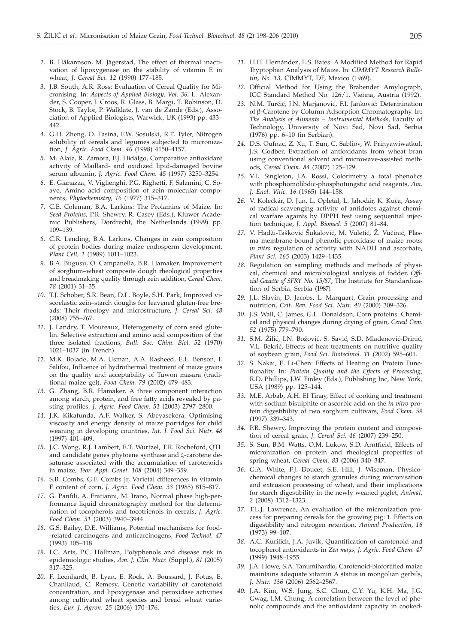- *2.* B. Häkannson, M. Jägerstad, The effect of thermal inactivation of lipoxygenase on the stability of vitamin E in wheat, *J. Cereal Sci. 12* (1990) 177–185.
- *3.* J.B. South, A.R. Ross: Evaluation of Cereal Quality for Micronising. In: *Aspects of Applied Biology, Vol. 36,* L. Alexander, S. Cooper, J. Croos, R. Glass, B. Margi, T. Robinson, D. Stock, B. Taylor, P. Walklate, J. van de Zande (Eds.), Association of Applied Biologists, Warwick, UK (1993) pp. 433– 442.
- *4.* G.H. Zheng, O. Fasina, F.W. Sosulski, R.T. Tyler, Nitrogen solubility of cereals and legumes subjected to micronization, *J. Agric. Food Chem. 46* (1998) 4150–4157.
- *5.* M. Alaiz, R. Zamora, F.J. Hidalgo, Comparative antioxidant activity of Maillard- and oxidized lipid-damaged bovine serum albumin, *J. Agric. Food Chem. 45* (1997) 3250–3254.
- *6.* E. Gianazza, V. Viglienghi, P.G. Righetti, F. Salamini, C. Soave, Amino acid composition of zein molecular components, *Phytochemistry, 16* (1977) 315–317.
- *7.* C.E. Coleman, B.A. Larkins: The Prolamins of Maize. In: *Seed Proteins,* P.R. Shewry, R. Casey (Eds.), Kluwer Academic Publishers, Dordrecht, the Netherlands (1999) pp. 109–139.
- *8.* C.R. Lending, B.A. Larkins, Changes in zein composition of protein bodies during maize endosperm development, *Plant Cell, 1* (1989) 1011–1023.
- *9.* B.A. Bugusu, O. Campanella, B.R. Hamaker, Improvement of sorghum–wheat composite dough rheological properties and breadmaking quality through zein addition, *Cereal Chem. 78* (2001) 31–35.
- *10.* T.J. Schober, S.R. Bean, D.L. Boyle, S.H. Park, Improved viscoelastic zein–starch doughs for leavened gluten-free breads: Their rheology and microstructure, *J. Cereal Sci. 48* (2008) 755–767.
- *11.* J. Landry, T. Moureaux, Heterogeneity of corn seed glutelin. Selective extraction and amino acid composition of the three isolated fractions, *Bull. Soc. Chim. Biol. 52* (1970) 1021–1037 (in French).
- *12.* M.K. Bolade, M.A. Usman, A.A. Rasheed, E.L. Benson, I. Salifou, Influence of hydrothermal treatment of maize grains on the quality and acceptability of Tuwon masara (traditional maize gel), *Food Chem. 79* (2002) 479–483.
- *13.* G. Zhang, B.R. Hamaker, A three component interaction among starch, protein, and free fatty acids revealed by pasting profiles, *J. Agric. Food Chem. 51* (2003) 2797–2800.
- *14.* J.K. Kikafunda, A.F. Walker, S. Abeyasekera, Optimising viscosity and energy density of maize porridges for child weaning in developing countries, *Int. J. Food Sci. Nutr. 48* (1997) 401–409.
- *15.* J.C. Wong, R.J. Lambert, E.T. Wurtzel, T.R. Rocheford, QTL and candidate genes phytoene synthase and  $\zeta$ -carotene desaturase associated with the accumulation of carotenoids in maize, *Teor. Appl. Genet. 108* (2004) 349–359.
- *16.* S.B. Combs, G.F. Combs Jr, Varietal differences in vitamin E content of corn, *J. Agric. Food Chem. 33* (1985) 815–817.
- *17.* G. Panfili, A. Fratianni, M. Irano, Normal phase high-performance liquid chromatography method for the determination of tocopherols and tocotrienols in cereals, *J. Agric. Food Chem. 51* (2003) 3940–3944.
- *18.* G.S. Bailey, D.E. Williams, Potential mechanisms for food- -related carcinogens and anticarcinogens, *Food Technol. 47* (1993) 105–118.
- *19.* I.C. Arts, P.C. Hollman, Polyphenols and disease risk in epidemiologic studies, *Am. J. Clin. Nutr.* (Suppl.), *81* (2005) 317–325.
- *20.* F. Leenhardt, B. Lyan, E. Rock, A. Boussard, J. Potus, E. Chanliaud, C. Remesy, Genetic variability of carotenoid concentration, and lipoxygenase and peroxidase activities among cultivated wheat species and bread wheat varieties, *Eur. J. Agron. 25* (2006) 170–176.
- *21.* H.H. Hernández, L.S. Bates: A Modified Method for Rapid Tryptophan Analysis of Maize. In: *CIMMYT Research Bulletin, No. 13,* CIMMYT, DF, Mexico (1969).
- *22.* Official Method for Using the Brabender Amylograph, ICC Standard Method No. 126/1, Vienna, Austria (1992).
- 23. N.M. Turčić, J.N. Marjanović, F.I. Janković: Determination of b-Carotene by Column Adsorption Chromatography. In: *The Analysis of Aliments – Instrumental Methods*, Faculty of Technology, University of Novi Sad, Novi Sad, Serbia (1976) pp. 6–10 (in Serbian).
- *24.* D.S. Oufnac, Z. Xu, T. Sun, C. Sabliov, W. Prinyawiwatkul, J.S. Godber, Extraction of antioxidants from wheat bran using conventional solvent and microwave-assisted methods, *Cereal Chem. 84* (2007) 125–129.
- *25.* V.L. Singleton, J.A. Rossi, Colorimetry a total phenolics with phosphomolibdic-phosphotungstic acid reagents, *Am. J. Enol. Vitic. 16* (1965) 144–158.
- 26. V. Kolečkár, D. Jun, L. Opletal, L. Jahodár, K. Kuča, Assay of radical scavenging activity of antidotes against chemical warfare againts by DPPH test using sequential injection technique, *J. Appl. Biomed*. *5* (2007) 81–84.
- 27. V. Hadži-Tašković Šukalović, M. Vuletić, Ž. Vučinić, Plasma membrane-bound phenolic peroxidase of maize roots: *in vitro* regulation of activity with NADH and ascorbate, *Plant Sci. 165* (2003) 1429–1435.
- *28.* Regulation on sampling methods and methods of physical, chemical and microbiological analysis of fodder, *Official Gazette of SFRY No. 15/87*, The Institute for Standardization of Serbia, Serbia (1987).
- *29.* J.L. Slavin, D. Jacobs, L. Marquart, Grain processing and nutrition, *Crit. Rev. Food Sci. Nutr. 40* (2000) 309–326.
- *30.* J.S. Wall, C. James, G.L. Donaldson, Corn proteins: Chemical and physical changes during drying of grain, *Cereal Cem. 52* (1975) 779–790.
- 31. S.M. Žilić, I.N. Božović, S. Savić, S.D. Mladenović-Drinić, V.L. Bekrić, Effects of heat treatments on nutritive quality of soybean grain, *Food Sci. Biotechnol. 11* (2002) 595–601.
- *32.* S. Nakai, E. Li-Chen: Effects of Heating on Protein Functionality. In: *Protein Quality and the Effects of Processing,* R.D. Phillips, J.W. Finley (Eds.), Publishing Inc, New York, USA (1989) pp. 125–144.
- *33.* M.E. Arbab, A.H. El Tinay, Effect of cooking and treatment with sodium bisulphite or ascorbic acid on the *in vitro* protein digestibility of two sorghum cultivars, *Food Chem. 59* (1997) 339–343.
- *34.* P.R. Shewry, Improving the protein content and composition of cereal grain, *J. Cereal Sci. 46* (2007) 239–250.
- *35.* S. Sun, B.M. Watts, O.M. Lukow, S.D. Arntfield, Effects of micronization on protein and rheological properties of spring wheat, *Cereal Chem. 83* (2006) 340–347.
- *36.* G.A. White, F.J. Doucet, S.E. Hill, J. Wiseman, Physicochemical changes to starch granules during micronisation and extrusion processing of wheat, and their implications for starch digestibility in the newly weaned piglet, *Animal, 2* (2008) 1312–1323.
- *37.* T.L.J. Lawrence, An evaluation of the micronization process for preparing cereals for the growing pig: 1. Effects on digestibility and nitrogen retention, *Animal Production, 16* (1973) 99–107.
- *38.* A.C. Kurilich, J.A. Juvik, Quantification of carotenoid and tocopherol antioxidants in *Zea mays, J. Agric. Food Chem. 47* (1999) 1948–1955.
- *39.* J.A. Howe, S.A. Tanumihardjo, Carotenoid-biofortified maize maintains adequate vitamin A status in mongolian gerbils, *J. Nutr. 136* (2006) 2562–2567.
- *40.* J.A. Kim, W.S. Jung, S.C. Chun, C.Y. Yu, K.H. Ma, J.G. Gwag, I.M. Chung, A correlation between the level of phenolic compounds and the antioxidant capacity in cooked-